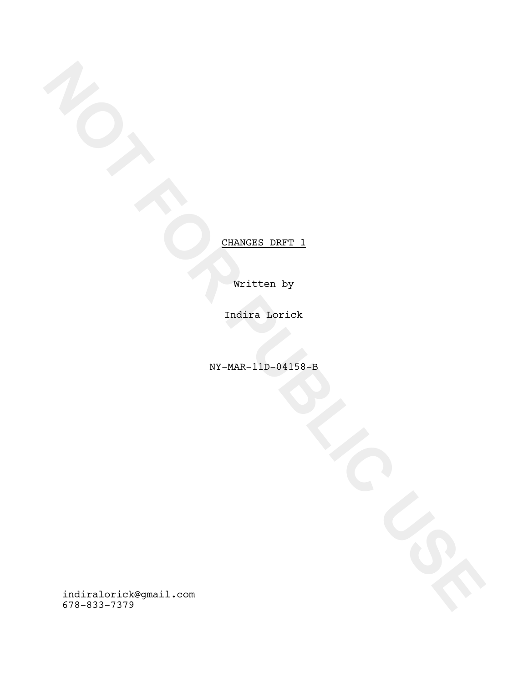Written by

Indira Lorick

NY-MAR-11D-04158-B

**NOTE:**<br>
FOR PUBLIC USE<br>
FOR PUBLIC USE<br>
FOR PUBLIC USE<br>
FOR PUBLIC USE<br>
FOR PUBLIC USE<br>
FOR PUBLIC USE<br>
FOR PUBLIC USE<br>
FOR PUBLIC USE<br>
FOR PUBLIC USE<br>
FOR PUBLIC USE<br>
FOR PUBLIC USE<br>
FOR PUBLIC USE<br>
FOR PUBLIC USE<br>
FOR P indiralorick@gmail.com 678-833-7379